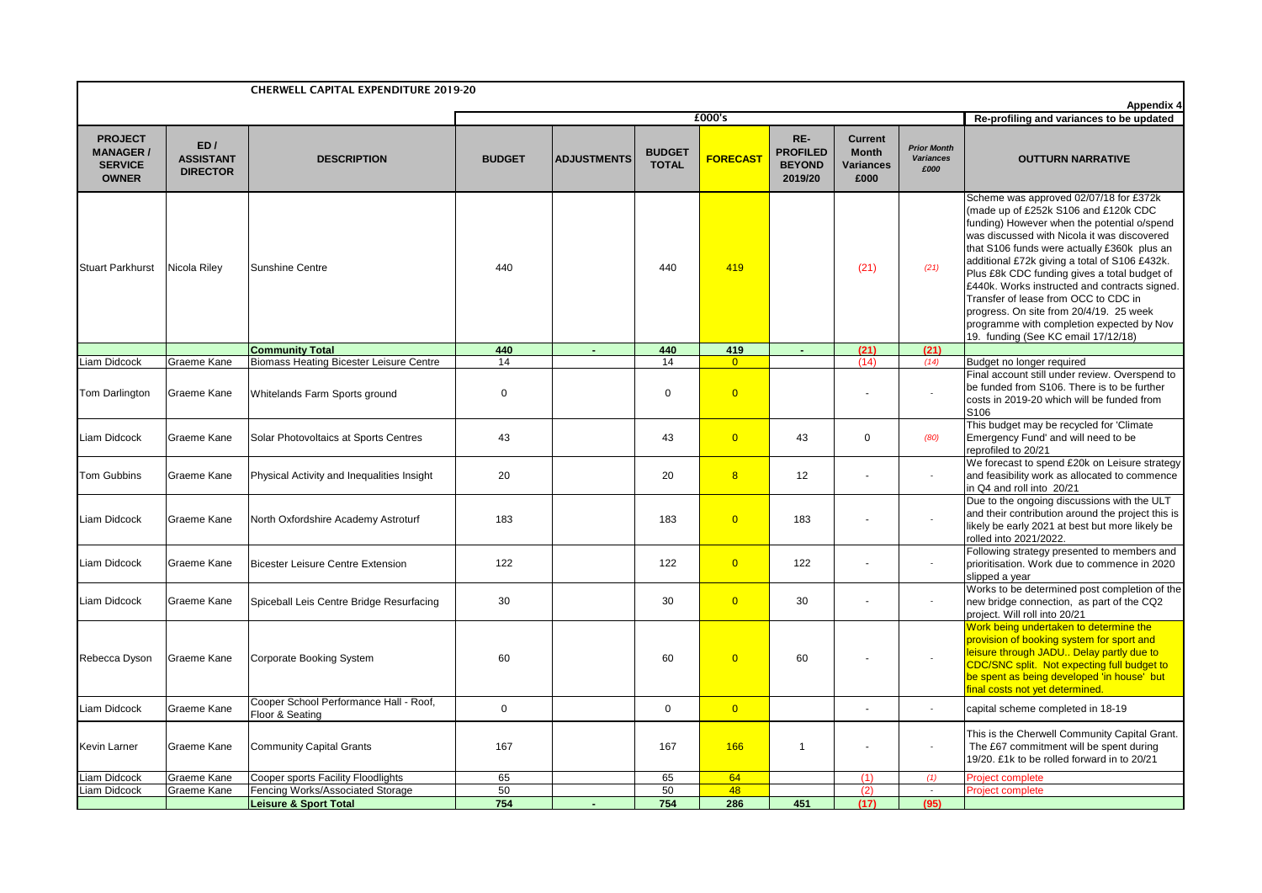|                                                                     |                                            | <b>CHERWELL CAPITAL EXPENDITURE 2019-20</b>                                     |                   |                    |                               |                                  |                                                    |                                                     |                                                |                                                                                                                                                                                                                                                                                                                                                                                                                                                                                                                                                      |
|---------------------------------------------------------------------|--------------------------------------------|---------------------------------------------------------------------------------|-------------------|--------------------|-------------------------------|----------------------------------|----------------------------------------------------|-----------------------------------------------------|------------------------------------------------|------------------------------------------------------------------------------------------------------------------------------------------------------------------------------------------------------------------------------------------------------------------------------------------------------------------------------------------------------------------------------------------------------------------------------------------------------------------------------------------------------------------------------------------------------|
|                                                                     |                                            |                                                                                 |                   |                    |                               | £000's                           |                                                    |                                                     |                                                | <b>Appendix 4</b><br>Re-profiling and variances to be updated                                                                                                                                                                                                                                                                                                                                                                                                                                                                                        |
| <b>PROJECT</b><br><b>MANAGER/</b><br><b>SERVICE</b><br><b>OWNER</b> | ED/<br><b>ASSISTANT</b><br><b>DIRECTOR</b> | <b>DESCRIPTION</b>                                                              | <b>BUDGET</b>     | <b>ADJUSTMENTS</b> | <b>BUDGET</b><br><b>TOTAL</b> | <b>FORECAST</b>                  | RE-<br><b>PROFILED</b><br><b>BEYOND</b><br>2019/20 | <b>Current</b><br><b>Month</b><br>Variances<br>£000 | <b>Prior Month</b><br><b>Variances</b><br>£000 | <b>OUTTURN NARRATIVE</b>                                                                                                                                                                                                                                                                                                                                                                                                                                                                                                                             |
| <b>Stuart Parkhurst</b>                                             | Nicola Riley                               | <b>Sunshine Centre</b>                                                          | 440               |                    | 440                           | 419                              |                                                    | (21)                                                | (21)                                           | Scheme was approved 02/07/18 for £372k<br>(made up of £252k S106 and £120k CDC<br>funding) However when the potential o/spend<br>was discussed with Nicola it was discovered<br>that S106 funds were actually £360k plus an<br>additional £72k giving a total of S106 £432k.<br>Plus £8k CDC funding gives a total budget of<br>£440k. Works instructed and contracts signed.<br>Transfer of lease from OCC to CDC in<br>progress. On site from 20/4/19. 25 week<br>programme with completion expected by Nov<br>19. funding (See KC email 17/12/18) |
|                                                                     |                                            | <b>Community Total</b>                                                          | 440               | $\sim$             | 440                           | 419                              | $\sim$                                             | (21)                                                | (21)                                           |                                                                                                                                                                                                                                                                                                                                                                                                                                                                                                                                                      |
| Liam Didcock<br>Tom Darlington                                      | Graeme Kane<br>Graeme Kane                 | <b>Biomass Heating Bicester Leisure Centre</b><br>Whitelands Farm Sports ground | 14<br>$\mathbf 0$ |                    | 14<br>$\mathbf 0$             | $\overline{0}$<br>$\overline{0}$ |                                                    | (14)                                                | (14)<br>ä,                                     | Budget no longer required<br>Final account still under review. Overspend to<br>be funded from S106. There is to be further<br>costs in 2019-20 which will be funded from<br>S106                                                                                                                                                                                                                                                                                                                                                                     |
| Liam Didcock                                                        | Graeme Kane                                | Solar Photovoltaics at Sports Centres                                           | 43                |                    | 43                            | $\overline{0}$                   | 43                                                 | $\mathbf 0$                                         | (80)                                           | This budget may be recycled for 'Climate<br>Emergency Fund' and will need to be<br>reprofiled to 20/21                                                                                                                                                                                                                                                                                                                                                                                                                                               |
| <b>Tom Gubbins</b>                                                  | Graeme Kane                                | Physical Activity and Inequalities Insight                                      | 20                |                    | 20                            | 8                                | 12                                                 |                                                     | $\overline{\phantom{a}}$                       | We forecast to spend £20k on Leisure strategy<br>and feasibility work as allocated to commence<br>in Q4 and roll into 20/21                                                                                                                                                                                                                                                                                                                                                                                                                          |
| Liam Didcock                                                        | Graeme Kane                                | North Oxfordshire Academy Astroturf                                             | 183               |                    | 183                           | $\overline{0}$                   | 183                                                |                                                     | ÷,                                             | Due to the ongoing discussions with the ULT<br>and their contribution around the project this is<br>likely be early 2021 at best but more likely be<br>rolled into 2021/2022.                                                                                                                                                                                                                                                                                                                                                                        |
| Liam Didcock                                                        | Graeme Kane                                | <b>Bicester Leisure Centre Extension</b>                                        | 122               |                    | 122                           | $\overline{0}$                   | 122                                                |                                                     | ä,                                             | Following strategy presented to members and<br>prioritisation. Work due to commence in 2020<br>slipped a vear                                                                                                                                                                                                                                                                                                                                                                                                                                        |
| Liam Didcock                                                        | Graeme Kane                                | Spiceball Leis Centre Bridge Resurfacing                                        | 30                |                    | 30                            | $\overline{0}$                   | 30                                                 |                                                     | $\overline{\phantom{a}}$                       | Works to be determined post completion of the<br>new bridge connection, as part of the CQ2<br>project. Will roll into 20/21                                                                                                                                                                                                                                                                                                                                                                                                                          |
| Rebecca Dyson                                                       | Graeme Kane                                | Corporate Booking System                                                        | 60                |                    | 60                            | $\overline{0}$                   | 60                                                 |                                                     | $\overline{\phantom{a}}$                       | Work being undertaken to determine the<br>provision of booking system for sport and<br>leisure through JADU Delay partly due to<br>CDC/SNC split. Not expecting full budget to<br>be spent as being developed 'in house' but<br>final costs not yet determined.                                                                                                                                                                                                                                                                                      |
| Liam Didcock                                                        | Graeme Kane                                | Cooper School Performance Hall - Roof,<br>Floor & Seating                       | $\mathbf 0$       |                    | $\mathbf 0$                   | $\overline{0}$                   |                                                    |                                                     |                                                | capital scheme completed in 18-19                                                                                                                                                                                                                                                                                                                                                                                                                                                                                                                    |
| Kevin Larner                                                        | Graeme Kane                                | <b>Community Capital Grants</b>                                                 | 167               |                    | 167                           | 166                              | $\overline{1}$                                     |                                                     | ٠                                              | This is the Cherwell Community Capital Grant.<br>The £67 commitment will be spent during<br>19/20. £1k to be rolled forward in to 20/21                                                                                                                                                                                                                                                                                                                                                                                                              |
| Liam Didcock                                                        | Graeme Kane                                | Cooper sports Facility Floodlights                                              | 65                |                    | 65                            | 64                               |                                                    | (1)                                                 | (1)                                            | <b>Project complete</b>                                                                                                                                                                                                                                                                                                                                                                                                                                                                                                                              |
| Liam Didcock                                                        | Graeme Kane                                | Fencing Works/Associated Storage<br><b>Leisure &amp; Sport Total</b>            | 50<br>754         |                    | 50<br>754                     | 48<br>286                        | 451                                                | (2)<br>(17)                                         | $\sim$<br>(95)                                 | <b>Project complete</b>                                                                                                                                                                                                                                                                                                                                                                                                                                                                                                                              |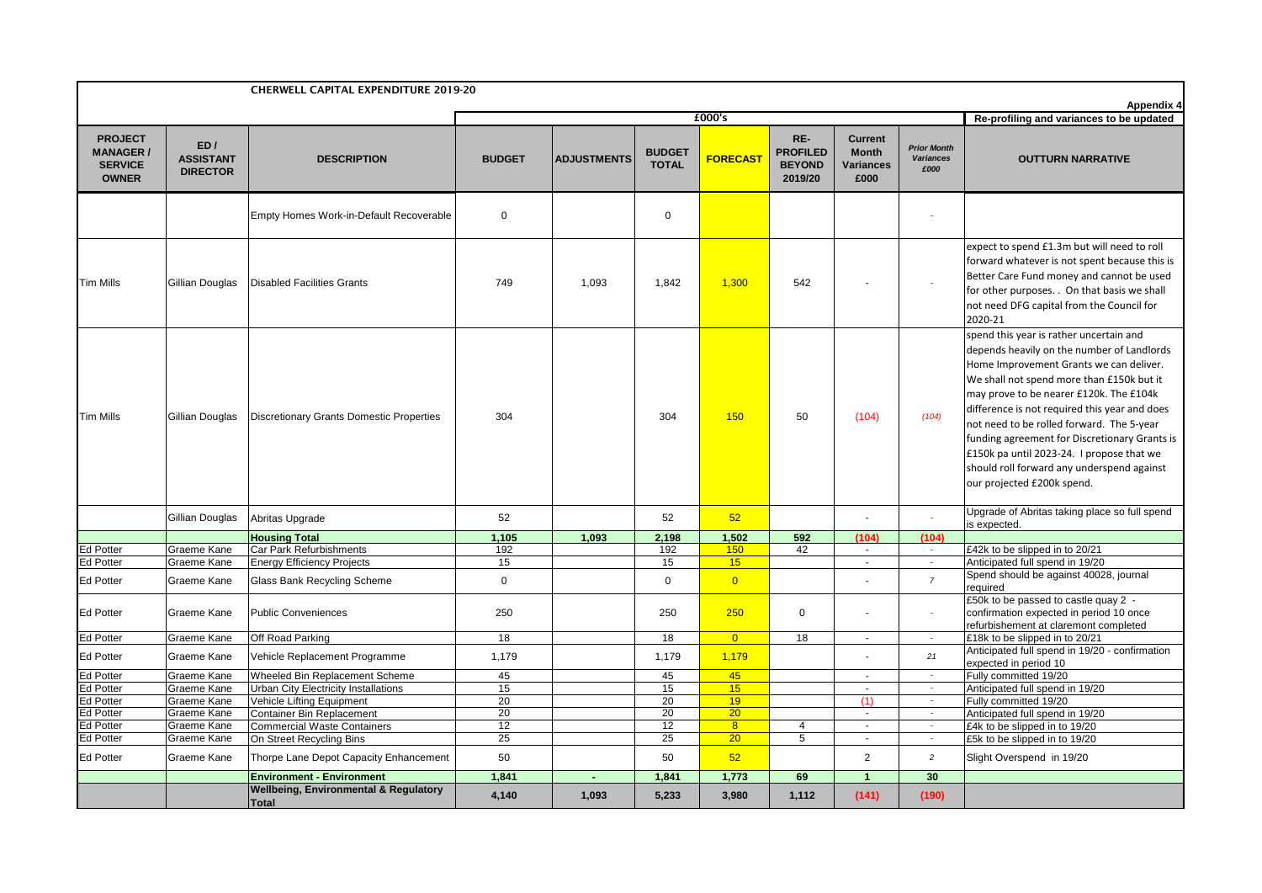|                                                                      |                                            | <b>CHERWELL CAPITAL EXPENDITURE 2019-20</b>                      |               |                    |                               |                 |                                                    |                                                            |                                                |                                                                                                                                                                                                                                                                                                                                                                                                                                                                                                  |
|----------------------------------------------------------------------|--------------------------------------------|------------------------------------------------------------------|---------------|--------------------|-------------------------------|-----------------|----------------------------------------------------|------------------------------------------------------------|------------------------------------------------|--------------------------------------------------------------------------------------------------------------------------------------------------------------------------------------------------------------------------------------------------------------------------------------------------------------------------------------------------------------------------------------------------------------------------------------------------------------------------------------------------|
|                                                                      |                                            |                                                                  |               |                    |                               | £000's          |                                                    |                                                            |                                                | <b>Appendix 4</b><br>Re-profiling and variances to be updated                                                                                                                                                                                                                                                                                                                                                                                                                                    |
| <b>PROJECT</b><br><b>MANAGER /</b><br><b>SERVICE</b><br><b>OWNER</b> | ED/<br><b>ASSISTANT</b><br><b>DIRECTOR</b> | <b>DESCRIPTION</b>                                               | <b>BUDGET</b> | <b>ADJUSTMENTS</b> | <b>BUDGET</b><br><b>TOTAL</b> | <b>FORECAST</b> | RE-<br><b>PROFILED</b><br><b>BEYOND</b><br>2019/20 | <b>Current</b><br><b>Month</b><br><b>Variances</b><br>£000 | <b>Prior Month</b><br><b>Variances</b><br>£000 | <b>OUTTURN NARRATIVE</b>                                                                                                                                                                                                                                                                                                                                                                                                                                                                         |
|                                                                      |                                            | Empty Homes Work-in-Default Recoverable                          | $\mathbf 0$   |                    | $\mathbf 0$                   |                 |                                                    |                                                            |                                                |                                                                                                                                                                                                                                                                                                                                                                                                                                                                                                  |
| <b>Tim Mills</b>                                                     | Gillian Douglas                            | <b>Disabled Facilities Grants</b>                                | 749           | 1,093              | 1,842                         | 1,300           | 542                                                |                                                            |                                                | expect to spend £1.3m but will need to roll<br>forward whatever is not spent because this is<br>Better Care Fund money and cannot be used<br>for other purposes. . On that basis we shall<br>not need DFG capital from the Council for<br>2020-21                                                                                                                                                                                                                                                |
| <b>Tim Mills</b>                                                     | Gillian Douglas                            | <b>Discretionary Grants Domestic Properties</b>                  | 304           |                    | 304                           | 150             | 50                                                 | (104)                                                      | (104)                                          | spend this year is rather uncertain and<br>depends heavily on the number of Landlords<br>Home Improvement Grants we can deliver.<br>We shall not spend more than £150k but it<br>may prove to be nearer £120k. The £104k<br>difference is not required this year and does<br>not need to be rolled forward. The 5-year<br>funding agreement for Discretionary Grants is<br>£150k pa until 2023-24. I propose that we<br>should roll forward any underspend against<br>our projected £200k spend. |
|                                                                      | Gillian Douglas                            | Abritas Upgrade                                                  | 52            |                    | 52                            | 52              |                                                    |                                                            |                                                | Upgrade of Abritas taking place so full spend<br>is expected.                                                                                                                                                                                                                                                                                                                                                                                                                                    |
|                                                                      |                                            | <b>Housing Total</b>                                             | 1,105         | 1.093              | 2,198                         | 1,502           | 592                                                | (104)                                                      | (104)                                          |                                                                                                                                                                                                                                                                                                                                                                                                                                                                                                  |
| <b>Ed Potter</b>                                                     | Graeme Kane                                | Car Park Refurbishments                                          | 192           |                    | 192                           | 150             | 42                                                 | $\sim$                                                     | $\sim$                                         | £42k to be slipped in to 20/21                                                                                                                                                                                                                                                                                                                                                                                                                                                                   |
| Ed Potter                                                            | Graeme Kane                                | <b>Energy Efficiency Projects</b>                                | 15            |                    | 15                            | 15              |                                                    | $\sim$                                                     | $\sim$                                         | Anticipated full spend in 19/20<br>Spend should be against 40028, journal                                                                                                                                                                                                                                                                                                                                                                                                                        |
| <b>Ed Potter</b>                                                     | Graeme Kane                                | Glass Bank Recycling Scheme                                      | $\mathbf 0$   |                    | $\mathbf{0}$                  | $\overline{0}$  |                                                    |                                                            | $\overline{7}$                                 | required                                                                                                                                                                                                                                                                                                                                                                                                                                                                                         |
| <b>Ed Potter</b>                                                     | Graeme Kane                                | <b>Public Conveniences</b>                                       | 250           |                    | 250                           | 250             | $\mathbf 0$                                        |                                                            |                                                | £50k to be passed to castle quay 2 -<br>confirmation expected in period 10 once<br>refurbishement at claremont completed                                                                                                                                                                                                                                                                                                                                                                         |
| <b>Ed Potter</b>                                                     | Graeme Kane                                | Off Road Parking                                                 | 18            |                    | 18                            | $\overline{0}$  | $\overline{18}$                                    |                                                            | $\sim$                                         | £18k to be slipped in to 20/21                                                                                                                                                                                                                                                                                                                                                                                                                                                                   |
| Ed Potter                                                            | Graeme Kane                                | Vehicle Replacement Programme                                    | 1,179         |                    | 1,179                         | 1,179           |                                                    |                                                            | 21                                             | Anticipated full spend in 19/20 - confirmation<br>expected in period 10                                                                                                                                                                                                                                                                                                                                                                                                                          |
| <b>Ed Potter</b>                                                     | Graeme Kane                                | Wheeled Bin Replacement Scheme                                   | 45            |                    | 45                            | 45              |                                                    | $\sim$                                                     | $\sim$                                         | Fully committed 19/20                                                                                                                                                                                                                                                                                                                                                                                                                                                                            |
| <b>Ed Potter</b>                                                     | Graeme Kane                                | Urban City Electricity Installations                             | 15            |                    | 15                            | 15              |                                                    | $\sim$                                                     | $\sim$                                         | Anticipated full spend in 19/20                                                                                                                                                                                                                                                                                                                                                                                                                                                                  |
| Ed Potter                                                            | Graeme Kane                                | Vehicle Lifting Equipment                                        | 20            |                    | 20                            | 19              |                                                    | (1)                                                        | $\sim$                                         | Fully committed 19/20                                                                                                                                                                                                                                                                                                                                                                                                                                                                            |
| <b>Ed Potter</b>                                                     | Graeme Kane                                | <b>Container Bin Replacement</b>                                 | 20            |                    | 20                            | 20              |                                                    | $\blacksquare$                                             | $\overline{\phantom{a}}$                       | Anticipated full spend in 19/20                                                                                                                                                                                                                                                                                                                                                                                                                                                                  |
| <b>Ed Potter</b>                                                     | Graeme Kane                                | <b>Commercial Waste Containers</b>                               | 12            |                    | 12                            | 8               | 4                                                  | $\sim$                                                     | $\overline{\phantom{a}}$                       | £4k to be slipped in to 19/20                                                                                                                                                                                                                                                                                                                                                                                                                                                                    |
| Ed Potter                                                            | Graeme Kane                                | On Street Recycling Bins                                         | 25            |                    | 25                            | 20              | $\overline{5}$                                     | $\sim$                                                     | $\sim$                                         | £5k to be slipped in to 19/20                                                                                                                                                                                                                                                                                                                                                                                                                                                                    |
| <b>Ed Potter</b>                                                     | Graeme Kane                                | Thorpe Lane Depot Capacity Enhancement                           | 50            |                    | 50                            | 52              |                                                    | 2                                                          | $\overline{c}$                                 | Slight Overspend in 19/20                                                                                                                                                                                                                                                                                                                                                                                                                                                                        |
|                                                                      |                                            | <b>Environment - Environment</b>                                 | 1,841         | $\blacksquare$     | 1,841                         | 1,773           | 69                                                 | $\mathbf{1}$                                               | 30                                             |                                                                                                                                                                                                                                                                                                                                                                                                                                                                                                  |
|                                                                      |                                            | <b>Wellbeing, Environmental &amp; Regulatory</b><br><b>Total</b> | 4,140         | 1,093              | 5,233                         | 3,980           | 1,112                                              | (141)                                                      | (190)                                          |                                                                                                                                                                                                                                                                                                                                                                                                                                                                                                  |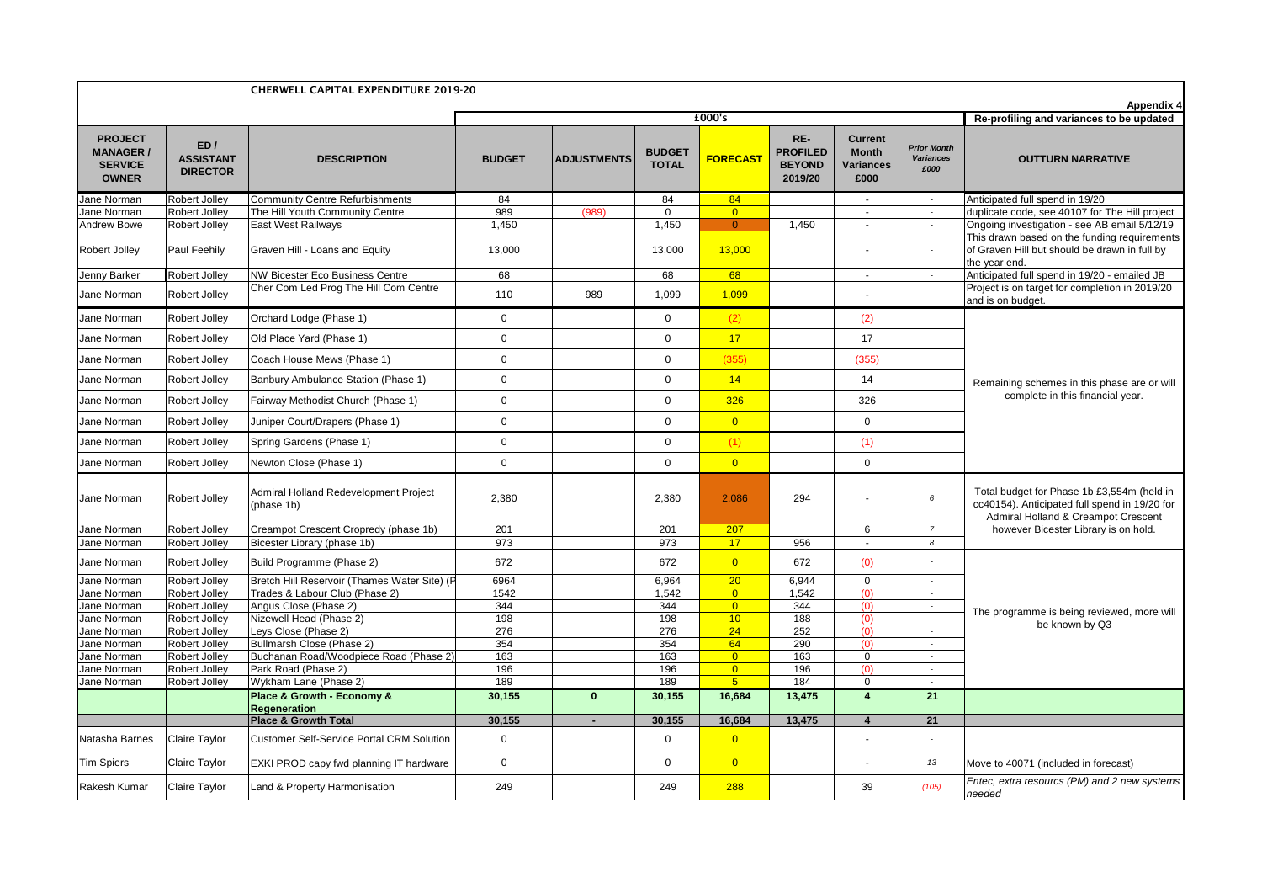|                                                                      |                                            | <b>CHERWELL CAPITAL EXPENDITURE 2019-20</b>         |               |                    |                               |                 |                                                    |                                                            |                                                | <b>Appendix 4</b>                                                                                                                  |
|----------------------------------------------------------------------|--------------------------------------------|-----------------------------------------------------|---------------|--------------------|-------------------------------|-----------------|----------------------------------------------------|------------------------------------------------------------|------------------------------------------------|------------------------------------------------------------------------------------------------------------------------------------|
|                                                                      |                                            |                                                     |               |                    |                               | £000's          |                                                    |                                                            |                                                | Re-profiling and variances to be updated                                                                                           |
| <b>PROJECT</b><br><b>MANAGER /</b><br><b>SERVICE</b><br><b>OWNER</b> | ED/<br><b>ASSISTANT</b><br><b>DIRECTOR</b> | <b>DESCRIPTION</b>                                  | <b>BUDGET</b> | <b>ADJUSTMENTS</b> | <b>BUDGET</b><br><b>TOTAL</b> | <b>FORECAST</b> | RE-<br><b>PROFILED</b><br><b>BEYOND</b><br>2019/20 | <b>Current</b><br><b>Month</b><br><b>Variances</b><br>£000 | <b>Prior Month</b><br><b>Variances</b><br>£000 | <b>OUTTURN NARRATIVE</b>                                                                                                           |
| Jane Norman                                                          | <b>Robert Jolley</b>                       | <b>Community Centre Refurbishments</b>              | 84            |                    | 84                            | 84              |                                                    | $\sim$                                                     | $\sim$                                         | Anticipated full spend in 19/20                                                                                                    |
| Jane Norman                                                          | <b>Robert Jolley</b>                       | The Hill Youth Community Centre                     | 989           | (989)              | 0                             | $\overline{0}$  |                                                    | $\sim$                                                     | $\sim$                                         | duplicate code, see 40107 for The Hill project                                                                                     |
| Andrew Bowe                                                          | Robert Jolley                              | <b>East West Railways</b>                           | 1,450         |                    | 1,450                         | $\overline{0}$  | 1,450                                              | $\blacksquare$                                             | $\overline{\phantom{a}}$                       | Ongoing investigation - see AB email 5/12/19                                                                                       |
| Robert Jolley                                                        | Paul Feehily                               | Graven Hill - Loans and Equity                      | 13,000        |                    | 13,000                        | 13,000          |                                                    | $\sim$                                                     | $\sim$                                         | This drawn based on the funding requirements<br>of Graven Hill but should be drawn in full by<br>the year end.                     |
| Jenny Barker                                                         | Robert Jolley                              | <b>NW Bicester Eco Business Centre</b>              | 68            |                    | 68                            | 68              |                                                    | $\omega$                                                   | $\epsilon$                                     | Anticipated full spend in 19/20 - emailed JB                                                                                       |
| Jane Norman                                                          | Robert Jolley                              | Cher Com Led Prog The Hill Com Centre               | 110           | 989                | 1,099                         | 1,099           |                                                    |                                                            |                                                | Project is on target for completion in 2019/20<br>and is on budget.                                                                |
| Jane Norman                                                          | Robert Jolley                              | Orchard Lodge (Phase 1)                             | $\mathbf 0$   |                    | $\mathbf 0$                   | (2)             |                                                    | (2)                                                        |                                                |                                                                                                                                    |
| Jane Norman                                                          | Robert Jolley                              | Old Place Yard (Phase 1)                            | $\mathbf 0$   |                    | $\Omega$                      | 17              |                                                    | 17                                                         |                                                |                                                                                                                                    |
| Jane Norman                                                          | Robert Jolley                              | Coach House Mews (Phase 1)                          | 0             |                    | $\mathbf{0}$                  | (355)           |                                                    | (355)                                                      |                                                | Remaining schemes in this phase are or will                                                                                        |
| Jane Norman                                                          | Robert Jolley                              | Banbury Ambulance Station (Phase 1)                 | 0             |                    | $\mathbf 0$                   | 14              |                                                    | 14                                                         |                                                |                                                                                                                                    |
| Jane Norman                                                          | Robert Jolley                              | Fairway Methodist Church (Phase 1)                  | $\mathbf 0$   |                    | $\mathbf 0$                   | 326             |                                                    | 326                                                        |                                                | complete in this financial year.                                                                                                   |
| Jane Norman                                                          | Robert Jolley                              | Juniper Court/Drapers (Phase 1)                     | $\mathbf 0$   |                    | $\Omega$                      | $\overline{0}$  |                                                    | 0                                                          |                                                |                                                                                                                                    |
| Jane Norman                                                          | Robert Jolley                              | Spring Gardens (Phase 1)                            | $\mathbf 0$   |                    | $\mathbf 0$                   | (1)             |                                                    | (1)                                                        |                                                |                                                                                                                                    |
| Jane Norman                                                          | Robert Jolley                              | Newton Close (Phase 1)                              | $\mathbf 0$   |                    | $\mathbf{0}$                  | $\overline{0}$  |                                                    | $\mathbf 0$                                                |                                                |                                                                                                                                    |
| Jane Norman                                                          | Robert Jolley                              | Admiral Holland Redevelopment Project<br>(phase 1b) | 2,380         |                    | 2,380                         | 2,086           | 294                                                | $\overline{\phantom{a}}$                                   | 6                                              | Total budget for Phase 1b £3,554m (held in<br>cc40154). Anticipated full spend in 19/20 for<br>Admiral Holland & Creampot Crescent |
| Jane Norman                                                          | <b>Robert Jolley</b>                       | Creampot Crescent Cropredy (phase 1b)               | 201           |                    | 201                           | 207             |                                                    | 6                                                          | $\overline{7}$                                 | however Bicester Library is on hold.                                                                                               |
| Jane Norman                                                          | <b>Robert Jolley</b>                       | Bicester Library (phase 1b)                         | 973           |                    | 973                           | 17              | 956                                                | $\mathbf{r}$                                               | 8                                              |                                                                                                                                    |
| Jane Norman                                                          | Robert Jolley                              | Build Programme (Phase 2)                           | 672           |                    | 672                           | $\overline{0}$  | 672                                                | (0)                                                        |                                                |                                                                                                                                    |
| Jane Norman                                                          | Robert Jolley                              | Bretch Hill Reservoir (Thames Water Site) (P        | 6964          |                    | 6,964                         | $\overline{20}$ | 6,944                                              | $\mathbf 0$                                                | $\sim$                                         |                                                                                                                                    |
| Jane Norman                                                          | Robert Jolley                              | Trades & Labour Club (Phase 2)                      | 1542          |                    | 1,542                         | $\overline{0}$  | 1,542                                              | (0)                                                        | $\sim$                                         |                                                                                                                                    |
| Jane Norman                                                          | Robert Jolley                              | Angus Close (Phase 2)                               | 344           |                    | 344                           | $\overline{0}$  | 344                                                | (0)                                                        | $\sim$                                         | The programme is being reviewed, more will                                                                                         |
| Jane Norman<br>Jane Norman                                           | Robert Jolley<br>Robert Jolley             | Nizewell Head (Phase 2)<br>Leys Close (Phase 2)     | 198<br>276    |                    | 198<br>276                    | 10<br>24        | 188<br>252                                         | (0)<br>(0)                                                 |                                                | be known by Q3                                                                                                                     |
| Jane Norman                                                          | Robert Jolley                              | Bullmarsh Close (Phase 2)                           | 354           |                    | 354                           | 64              | 290                                                | (0)                                                        | $\sim$                                         |                                                                                                                                    |
| Jane Norman                                                          | Robert Jolley                              | Buchanan Road/Woodpiece Road (Phase 2)              | 163           |                    | 163                           | $\overline{0}$  | 163                                                | $\mathbf 0$                                                | $\sim$                                         |                                                                                                                                    |
| Jane Norman                                                          | Robert Jolley                              | Park Road (Phase 2)                                 | 196           |                    | 196                           | $\overline{0}$  | 196                                                | (0)                                                        | $\overline{\phantom{a}}$                       |                                                                                                                                    |
| Jane Norman                                                          | Robert Jolley                              | Wykham Lane (Phase 2)                               | 189           |                    | 189                           | 5 <sup>5</sup>  | 184                                                | $\mathbf 0$                                                | $\sim$                                         |                                                                                                                                    |
|                                                                      |                                            | Place & Growth - Economy &<br><b>Regeneration</b>   | 30,155        | $\mathbf{0}$       | 30,155                        | 16,684          | 13,475                                             | $\overline{\mathbf{4}}$                                    | 21                                             |                                                                                                                                    |
|                                                                      |                                            | <b>Place &amp; Growth Total</b>                     | 30,155        | $\blacksquare$     | 30,155                        | 16,684          | 13,475                                             | $\overline{4}$                                             | 21                                             |                                                                                                                                    |
| Natasha Barnes                                                       | Claire Taylor                              | <b>Customer Self-Service Portal CRM Solution</b>    | $\mathbf 0$   |                    | $\mathbf 0$                   | $\overline{0}$  |                                                    | $\overline{\phantom{a}}$                                   |                                                |                                                                                                                                    |
| <b>Tim Spiers</b>                                                    | Claire Taylor                              | EXKI PROD capy fwd planning IT hardware             | $\mathbf 0$   |                    | $\mathbf{0}$                  | $\overline{0}$  |                                                    |                                                            | 13                                             | Move to 40071 (included in forecast)                                                                                               |
| Rakesh Kumar                                                         | Claire Taylor                              | Land & Property Harmonisation                       | 249           |                    | 249                           | 288             |                                                    | 39                                                         | (105)                                          | Entec, extra resourcs (PM) and 2 new systems<br>needed                                                                             |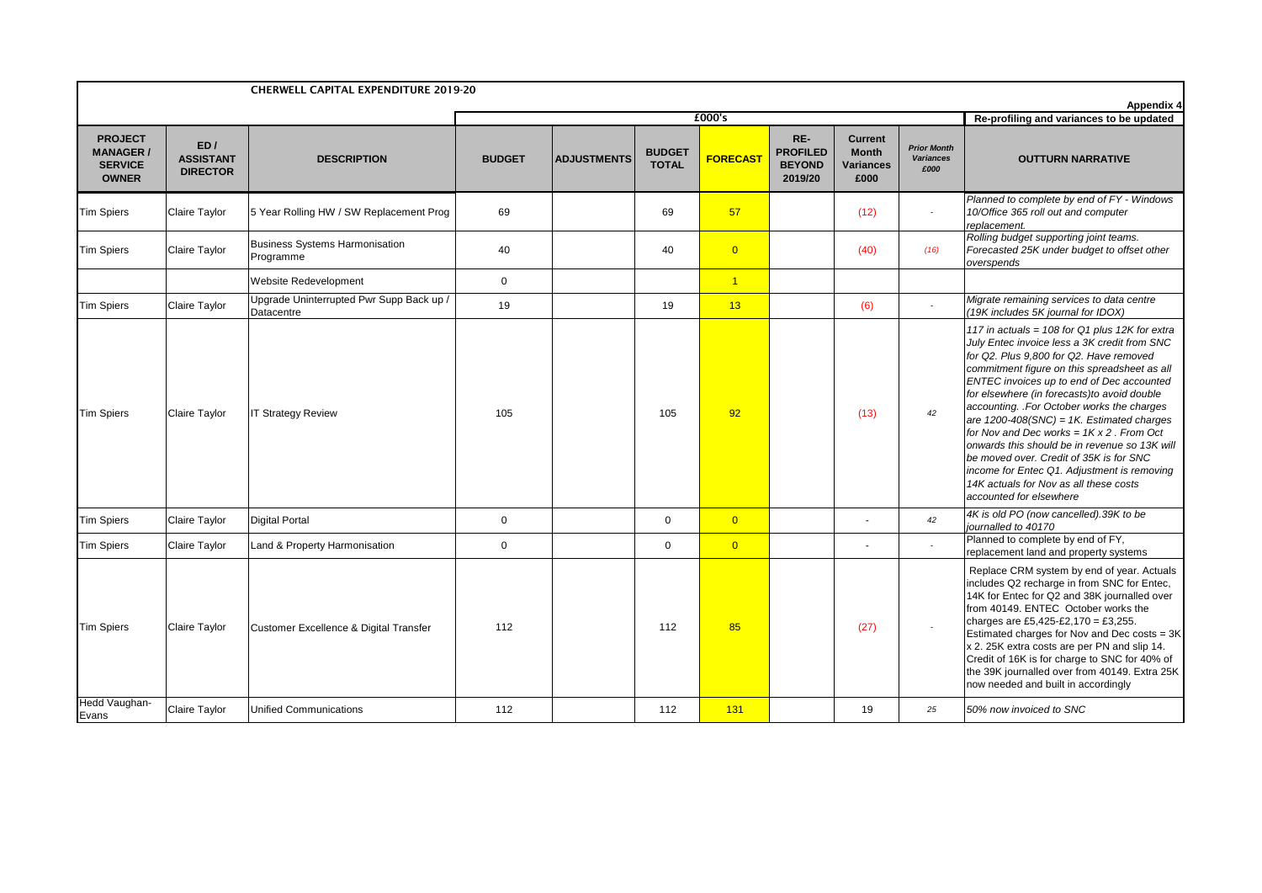|                                                                     |                                            | <b>CHERWELL CAPITAL EXPENDITURE 2019-20</b>            |               |                    |                               |                 |                                                    |                                                     |                                                |                                                                                                                                                                                                                                                                                                                                                                                                                                                                                                                                                                                                                                                         |  |
|---------------------------------------------------------------------|--------------------------------------------|--------------------------------------------------------|---------------|--------------------|-------------------------------|-----------------|----------------------------------------------------|-----------------------------------------------------|------------------------------------------------|---------------------------------------------------------------------------------------------------------------------------------------------------------------------------------------------------------------------------------------------------------------------------------------------------------------------------------------------------------------------------------------------------------------------------------------------------------------------------------------------------------------------------------------------------------------------------------------------------------------------------------------------------------|--|
|                                                                     |                                            |                                                        |               |                    |                               | £000's          |                                                    |                                                     |                                                | Appendix 4<br>Re-profiling and variances to be updated                                                                                                                                                                                                                                                                                                                                                                                                                                                                                                                                                                                                  |  |
| <b>PROJECT</b><br><b>MANAGER/</b><br><b>SERVICE</b><br><b>OWNER</b> | ED/<br><b>ASSISTANT</b><br><b>DIRECTOR</b> | <b>DESCRIPTION</b>                                     | <b>BUDGET</b> | <b>ADJUSTMENTS</b> | <b>BUDGET</b><br><b>TOTAL</b> | <b>FORECAST</b> | RE-<br><b>PROFILED</b><br><b>BEYOND</b><br>2019/20 | <b>Current</b><br><b>Month</b><br>Variances<br>£000 | <b>Prior Month</b><br><b>Variances</b><br>£000 | <b>OUTTURN NARRATIVE</b>                                                                                                                                                                                                                                                                                                                                                                                                                                                                                                                                                                                                                                |  |
| <b>Tim Spiers</b>                                                   | Claire Taylor                              | 5 Year Rolling HW / SW Replacement Prog                | 69            |                    | 69                            | 57              |                                                    | (12)                                                |                                                | Planned to complete by end of FY - Windows<br>10/Office 365 roll out and computer<br>replacement.                                                                                                                                                                                                                                                                                                                                                                                                                                                                                                                                                       |  |
| <b>Tim Spiers</b>                                                   | Claire Taylor                              | <b>Business Systems Harmonisation</b><br>Programme     | 40            |                    | 40                            | $\overline{0}$  |                                                    | (40)                                                | (16)                                           | Rolling budget supporting joint teams.<br>Forecasted 25K under budget to offset other<br>overspends                                                                                                                                                                                                                                                                                                                                                                                                                                                                                                                                                     |  |
|                                                                     |                                            | Website Redevelopment                                  | $\mathbf 0$   |                    |                               | $\overline{1}$  |                                                    |                                                     |                                                |                                                                                                                                                                                                                                                                                                                                                                                                                                                                                                                                                                                                                                                         |  |
| <b>Tim Spiers</b>                                                   | Claire Taylor                              | Upgrade Uninterrupted Pwr Supp Back up /<br>Datacentre | 19            |                    | 19                            | 13              |                                                    | (6)                                                 | $\sim$                                         | Migrate remaining services to data centre<br>(19K includes 5K journal for IDOX)                                                                                                                                                                                                                                                                                                                                                                                                                                                                                                                                                                         |  |
| <b>Tim Spiers</b>                                                   | Claire Taylor                              | <b>IT Strategy Review</b>                              | 105           |                    | 105                           | 92              |                                                    | (13)                                                | 42                                             | 117 in actuals = 108 for Q1 plus 12K for extra<br>July Entec invoice less a 3K credit from SNC<br>for Q2. Plus 9,800 for Q2. Have removed<br>commitment figure on this spreadsheet as all<br>ENTEC invoices up to end of Dec accounted<br>for elsewhere (in forecasts)to avoid double<br>accounting. .For October works the charges<br>are $1200-408(SNC) = 1K$ . Estimated charges<br>for Nov and Dec works = $1K \times 2$ . From Oct<br>onwards this should be in revenue so 13K will<br>be moved over. Credit of 35K is for SNC<br>income for Entec Q1. Adjustment is removing<br>14K actuals for Nov as all these costs<br>accounted for elsewhere |  |
| <b>Tim Spiers</b>                                                   | Claire Taylor                              | <b>Digital Portal</b>                                  | $\mathbf 0$   |                    | $\mathbf 0$                   | $\overline{0}$  |                                                    |                                                     | 42                                             | 4K is old PO (now cancelled).39K to be<br>journalled to 40170                                                                                                                                                                                                                                                                                                                                                                                                                                                                                                                                                                                           |  |
| <b>Tim Spiers</b>                                                   | Claire Taylor                              | Land & Property Harmonisation                          | $\mathbf 0$   |                    | $\mathbf 0$                   | $\overline{0}$  |                                                    |                                                     |                                                | Planned to complete by end of FY,<br>replacement land and property systems                                                                                                                                                                                                                                                                                                                                                                                                                                                                                                                                                                              |  |
| <b>Tim Spiers</b>                                                   | Claire Taylor                              | <b>Customer Excellence &amp; Digital Transfer</b>      | 112           |                    | 112                           | 85              |                                                    | (27)                                                |                                                | Replace CRM system by end of year. Actuals<br>includes Q2 recharge in from SNC for Entec,<br>14K for Entec for Q2 and 38K journalled over<br>from 40149. ENTEC October works the<br>charges are £5,425-£2,170 = £3,255.<br>Estimated charges for Nov and Dec costs = 3K<br>x 2. 25K extra costs are per PN and slip 14.<br>Credit of 16K is for charge to SNC for 40% of<br>the 39K journalled over from 40149. Extra 25K<br>now needed and built in accordingly                                                                                                                                                                                        |  |
| Hedd Vaughan-<br>Evans                                              | Claire Taylor                              | <b>Unified Communications</b>                          | 112           |                    | 112                           | 131             |                                                    | 19                                                  | 25                                             | 50% now invoiced to SNC                                                                                                                                                                                                                                                                                                                                                                                                                                                                                                                                                                                                                                 |  |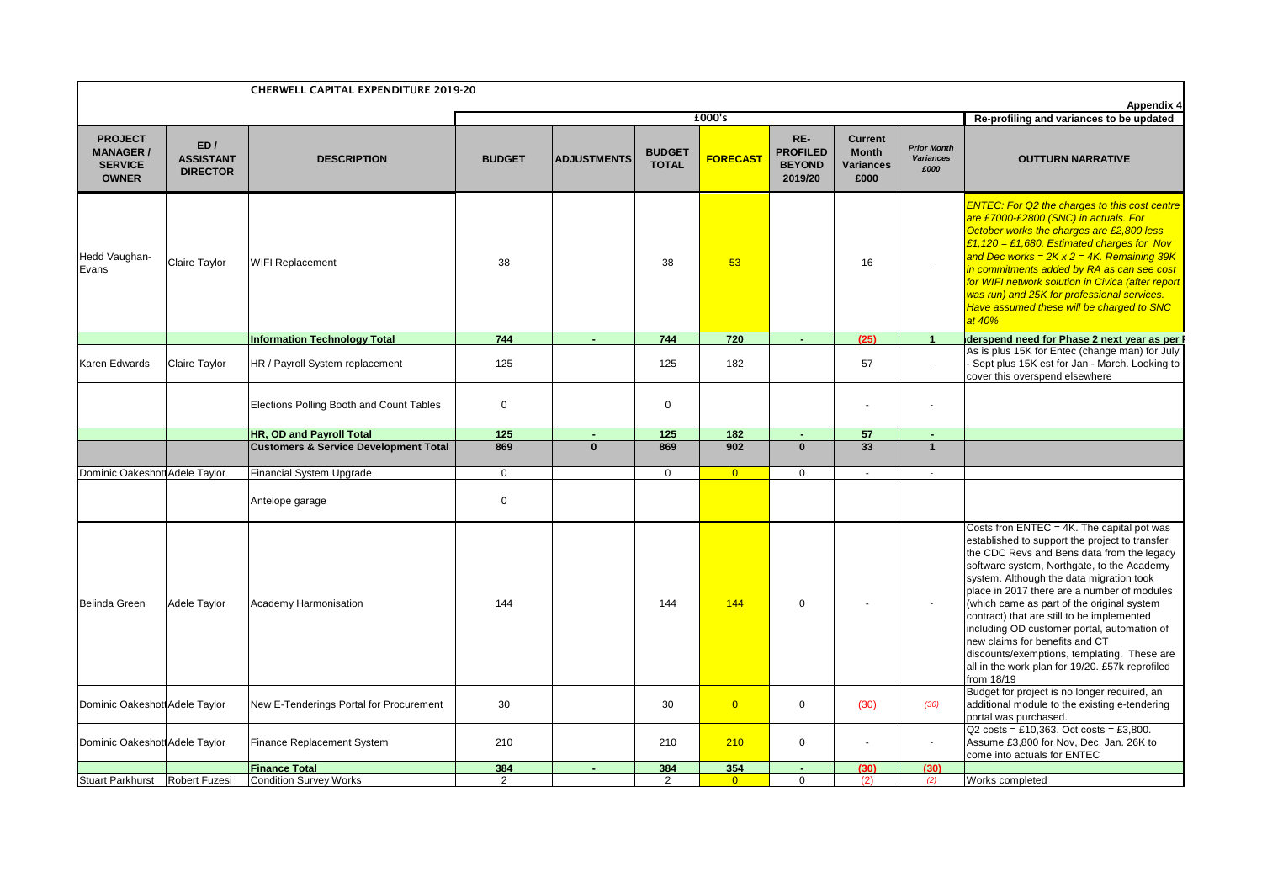|                                                                     |                                            | <b>CHERWELL CAPITAL EXPENDITURE 2019-20</b>      |               |                    |                               |                 |                                                    |                                                     |                                                | <b>Appendix 4</b>                                                                                                                                                                                                                                                                                                                                                                                                                                                                                                                                                                                                                |
|---------------------------------------------------------------------|--------------------------------------------|--------------------------------------------------|---------------|--------------------|-------------------------------|-----------------|----------------------------------------------------|-----------------------------------------------------|------------------------------------------------|----------------------------------------------------------------------------------------------------------------------------------------------------------------------------------------------------------------------------------------------------------------------------------------------------------------------------------------------------------------------------------------------------------------------------------------------------------------------------------------------------------------------------------------------------------------------------------------------------------------------------------|
|                                                                     |                                            |                                                  |               |                    |                               | £000's          |                                                    |                                                     |                                                | Re-profiling and variances to be updated                                                                                                                                                                                                                                                                                                                                                                                                                                                                                                                                                                                         |
| <b>PROJECT</b><br><b>MANAGER/</b><br><b>SERVICE</b><br><b>OWNER</b> | ED/<br><b>ASSISTANT</b><br><b>DIRECTOR</b> | <b>DESCRIPTION</b>                               | <b>BUDGET</b> | <b>ADJUSTMENTS</b> | <b>BUDGET</b><br><b>TOTAL</b> | <b>FORECAST</b> | RE-<br><b>PROFILED</b><br><b>BEYOND</b><br>2019/20 | <b>Current</b><br><b>Month</b><br>Variances<br>£000 | <b>Prior Month</b><br><b>Variances</b><br>£000 | <b>OUTTURN NARRATIVE</b>                                                                                                                                                                                                                                                                                                                                                                                                                                                                                                                                                                                                         |
| Hedd Vaughan-<br>Evans                                              | Claire Taylor                              | WIFI Replacement                                 | 38            |                    | 38                            | 53              |                                                    | 16                                                  | $\mathcal{L}_{\mathcal{A}}$                    | <b>ENTEC: For Q2 the charges to this cost centre</b><br>are £7000-£2800 (SNC) in actuals. For<br>October works the charges are £2,800 less<br>£1,120 = £1,680. Estimated charges for Nov<br>and Dec works = $2Kx2 = 4K$ . Remaining 39K<br>in commitments added by RA as can see cost<br>for WIFI network solution in Civica (after report<br>was run) and 25K for professional services.<br>Have assumed these will be charged to SNC<br>at 40%                                                                                                                                                                                 |
|                                                                     |                                            | <b>Information Technology Total</b>              | 744           | $\sim$             | 744                           | 720             | $\blacksquare$                                     | (25)                                                | $\overline{1}$                                 | derspend need for Phase 2 next year as per F                                                                                                                                                                                                                                                                                                                                                                                                                                                                                                                                                                                     |
| Karen Edwards                                                       | Claire Taylor                              | HR / Payroll System replacement                  | 125           |                    | 125                           | 182             |                                                    | 57                                                  | $\omega$                                       | As is plus 15K for Entec (change man) for July<br>Sept plus 15K est for Jan - March. Looking to<br>cover this overspend elsewhere                                                                                                                                                                                                                                                                                                                                                                                                                                                                                                |
|                                                                     |                                            | Elections Polling Booth and Count Tables         | $\mathbf 0$   |                    | $\Omega$                      |                 |                                                    |                                                     | ÷,                                             |                                                                                                                                                                                                                                                                                                                                                                                                                                                                                                                                                                                                                                  |
|                                                                     |                                            | HR, OD and Payroll Total                         | 125           | $\blacksquare$     | 125                           | 182             | $\blacksquare$                                     | 57                                                  | $\blacksquare$                                 |                                                                                                                                                                                                                                                                                                                                                                                                                                                                                                                                                                                                                                  |
|                                                                     |                                            | <b>Customers &amp; Service Development Total</b> | 869           | $\mathbf{0}$       | 869                           | 902             | $\mathbf{0}$                                       | 33                                                  | $\overline{1}$                                 |                                                                                                                                                                                                                                                                                                                                                                                                                                                                                                                                                                                                                                  |
| Dominic Oakeshott Adele Taylor                                      |                                            | <b>Financial System Upgrade</b>                  | $\mathbf 0$   |                    | $\mathbf 0$                   | $\overline{0}$  | $\mathbf 0$                                        | $\sim$                                              | $\sim$                                         |                                                                                                                                                                                                                                                                                                                                                                                                                                                                                                                                                                                                                                  |
|                                                                     |                                            | Antelope garage                                  | $\mathbf 0$   |                    |                               |                 |                                                    |                                                     |                                                |                                                                                                                                                                                                                                                                                                                                                                                                                                                                                                                                                                                                                                  |
| <b>Belinda Green</b>                                                | Adele Taylor                               | Academy Harmonisation                            | 144           |                    | 144                           | 144             | $\Omega$                                           |                                                     | $\overline{\phantom{a}}$                       | Costs fron ENTEC = 4K. The capital pot was<br>established to support the project to transfer<br>the CDC Revs and Bens data from the legacy<br>software system, Northgate, to the Academy<br>system. Although the data migration took<br>place in 2017 there are a number of modules<br>(which came as part of the original system<br>contract) that are still to be implemented<br>including OD customer portal, automation of<br>new claims for benefits and CT<br>discounts/exemptions, templating. These are<br>all in the work plan for 19/20. £57k reprofiled<br>from 18/19<br>Budget for project is no longer required, an |
| Dominic Oakeshott Adele Taylor                                      |                                            | New E-Tenderings Portal for Procurement          | 30            |                    | 30                            | $\overline{0}$  | $\mathbf 0$                                        | (30)                                                | (30)                                           | additional module to the existing e-tendering<br>portal was purchased.                                                                                                                                                                                                                                                                                                                                                                                                                                                                                                                                                           |
| Dominic Oakeshot Adele Taylor                                       |                                            | Finance Replacement System                       | 210           |                    | 210                           | 210             | 0                                                  |                                                     | ÷,                                             | $Q2 \text{ costs} = £10,363$ . Oct costs = £3,800.<br>Assume £3,800 for Nov, Dec, Jan. 26K to<br>come into actuals for ENTEC                                                                                                                                                                                                                                                                                                                                                                                                                                                                                                     |
|                                                                     |                                            | <b>Finance Total</b>                             | 384           |                    | 384                           | 354             |                                                    | (30)                                                | (30)                                           |                                                                                                                                                                                                                                                                                                                                                                                                                                                                                                                                                                                                                                  |
| Stuart Parkhurst Robert Fuzesi                                      |                                            | <b>Condition Survey Works</b>                    | 2             |                    | 2                             | $\Omega$        | $\Omega$                                           | (2)                                                 | (2)                                            | Works completed                                                                                                                                                                                                                                                                                                                                                                                                                                                                                                                                                                                                                  |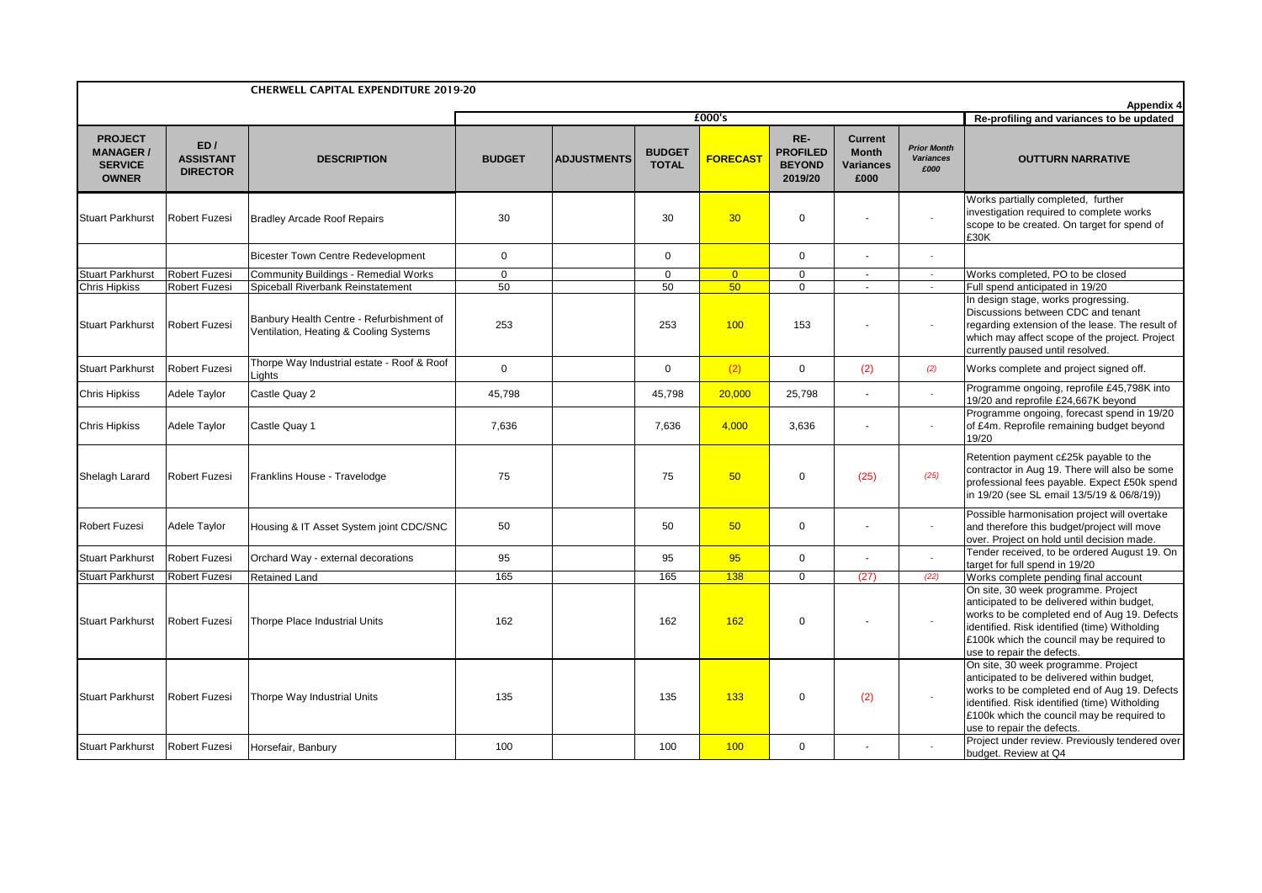|                                                                     |                                              | <b>CHERWELL CAPITAL EXPENDITURE 2019-20</b>                                        |               |                    |                               |                 |                                                    |                                                     |                                                |                                                                                                                                                                                                                                                                                                                                          |
|---------------------------------------------------------------------|----------------------------------------------|------------------------------------------------------------------------------------|---------------|--------------------|-------------------------------|-----------------|----------------------------------------------------|-----------------------------------------------------|------------------------------------------------|------------------------------------------------------------------------------------------------------------------------------------------------------------------------------------------------------------------------------------------------------------------------------------------------------------------------------------------|
|                                                                     |                                              |                                                                                    |               |                    |                               | £000's          |                                                    |                                                     |                                                | <b>Appendix 4</b><br>Re-profiling and variances to be updated                                                                                                                                                                                                                                                                            |
| <b>PROJECT</b><br><b>MANAGER/</b><br><b>SERVICE</b><br><b>OWNER</b> | ED/<br><b>ASSISTANT</b><br><b>DIRECTOR</b>   | <b>DESCRIPTION</b>                                                                 | <b>BUDGET</b> | <b>ADJUSTMENTS</b> | <b>BUDGET</b><br><b>TOTAL</b> | <b>FORECAST</b> | RE-<br><b>PROFILED</b><br><b>BEYOND</b><br>2019/20 | <b>Current</b><br><b>Month</b><br>Variances<br>£000 | <b>Prior Month</b><br><b>Variances</b><br>£000 | <b>OUTTURN NARRATIVE</b>                                                                                                                                                                                                                                                                                                                 |
| <b>Stuart Parkhurst</b>                                             | <b>Robert Fuzesi</b>                         | <b>Bradley Arcade Roof Repairs</b>                                                 | 30            |                    | 30                            | 30              | $\mathbf 0$                                        |                                                     |                                                | Works partially completed, further<br>investigation required to complete works<br>scope to be created. On target for spend of<br>£30K                                                                                                                                                                                                    |
|                                                                     |                                              | <b>Bicester Town Centre Redevelopment</b>                                          | $\mathbf 0$   |                    | $\Omega$                      |                 | $\Omega$                                           |                                                     |                                                |                                                                                                                                                                                                                                                                                                                                          |
| <b>Stuart Parkhurst</b>                                             | <b>Robert Fuzesi</b>                         | <b>Community Buildings - Remedial Works</b>                                        | $\mathbf 0$   |                    | $\Omega$                      | $\overline{0}$  | $\Omega$                                           | $\sim$                                              |                                                | Works completed, PO to be closed                                                                                                                                                                                                                                                                                                         |
| <b>Chris Hipkiss</b>                                                | Robert Fuzesi                                | Spiceball Riverbank Reinstatement                                                  | 50            |                    | 50                            | 50              | $\mathbf 0$                                        | $\sim$                                              |                                                | Full spend anticipated in 19/20                                                                                                                                                                                                                                                                                                          |
| <b>Stuart Parkhurst</b>                                             | <b>Robert Fuzesi</b>                         | Banbury Health Centre - Refurbishment of<br>Ventilation, Heating & Cooling Systems | 253           |                    | 253                           | 100             | 153                                                |                                                     |                                                | In design stage, works progressing.<br>Discussions between CDC and tenant<br>regarding extension of the lease. The result of<br>which may affect scope of the project. Project<br>currently paused until resolved.                                                                                                                       |
| <b>Stuart Parkhurst</b>                                             | <b>Robert Fuzesi</b>                         | Thorpe Way Industrial estate - Roof & Roof<br>Lights                               | $\mathbf 0$   |                    | $\Omega$                      | (2)             | $\mathbf 0$                                        | (2)                                                 | (2)                                            | Works complete and project signed off.                                                                                                                                                                                                                                                                                                   |
| <b>Chris Hipkiss</b>                                                | Adele Taylor                                 | Castle Quay 2                                                                      | 45,798        |                    | 45,798                        | 20,000          | 25,798                                             | $\tilde{\phantom{a}}$                               |                                                | Programme ongoing, reprofile £45,798K into<br>19/20 and reprofile £24,667K beyond                                                                                                                                                                                                                                                        |
| <b>Chris Hipkiss</b>                                                | Adele Taylor                                 | Castle Quay 1                                                                      | 7.636         |                    | 7.636                         | 4,000           | 3,636                                              |                                                     |                                                | Programme ongoing, forecast spend in 19/20<br>of £4m. Reprofile remaining budget beyond<br>19/20                                                                                                                                                                                                                                         |
| Shelagh Larard                                                      | <b>Robert Fuzesi</b>                         | Franklins House - Travelodge                                                       | 75            |                    | 75                            | 50              | $\mathbf 0$                                        | (25)                                                | (25)                                           | Retention payment c£25k payable to the<br>contractor in Aug 19. There will also be some<br>professional fees payable. Expect £50k spend<br>in 19/20 (see SL email 13/5/19 & 06/8/19))                                                                                                                                                    |
| <b>Robert Fuzesi</b>                                                | Adele Taylor                                 | Housing & IT Asset System joint CDC/SNC                                            | 50            |                    | 50                            | 50              | $\mathbf 0$                                        |                                                     | $\overline{\phantom{a}}$                       | Possible harmonisation project will overtake<br>and therefore this budget/project will move<br>over. Project on hold until decision made.                                                                                                                                                                                                |
| <b>Stuart Parkhurst</b>                                             | <b>Robert Fuzesi</b>                         | Orchard Way - external decorations                                                 | 95            |                    | 95                            | 95              | $\mathbf 0$                                        | $\sim$                                              |                                                | Tender received, to be ordered August 19. On<br>target for full spend in 19/20                                                                                                                                                                                                                                                           |
| <b>Stuart Parkhurst</b>                                             | <b>Robert Fuzesi</b>                         | Retained Land                                                                      | 165           |                    | 165                           | 138             | $\mathbf 0$                                        | (27)                                                | (22)                                           | Works complete pending final account                                                                                                                                                                                                                                                                                                     |
| <b>Stuart Parkhurst</b>                                             | <b>Robert Fuzesi</b>                         | Thorpe Place Industrial Units                                                      | 162           |                    | 162                           | 162             | $\Omega$                                           |                                                     | ×                                              | On site, 30 week programme. Project<br>anticipated to be delivered within budget,<br>works to be completed end of Aug 19. Defects<br>identified. Risk identified (time) Witholding<br>£100k which the council may be required to<br>use to repair the defects.                                                                           |
| <b>Stuart Parkhurst</b><br><b>Stuart Parkhurst</b>                  | <b>Robert Fuzesi</b><br><b>Robert Fuzesi</b> | Thorpe Way Industrial Units<br>Horsefair, Banbury                                  | 135<br>100    |                    | 135<br>100                    | 133<br>100      | $\mathbf 0$<br>$\mathbf 0$                         | (2)                                                 |                                                | On site, 30 week programme. Project<br>anticipated to be delivered within budget,<br>works to be completed end of Aug 19. Defects<br>identified. Risk identified (time) Witholding<br>£100k which the council may be required to<br>use to repair the defects.<br>Project under review. Previously tendered over<br>budget. Review at Q4 |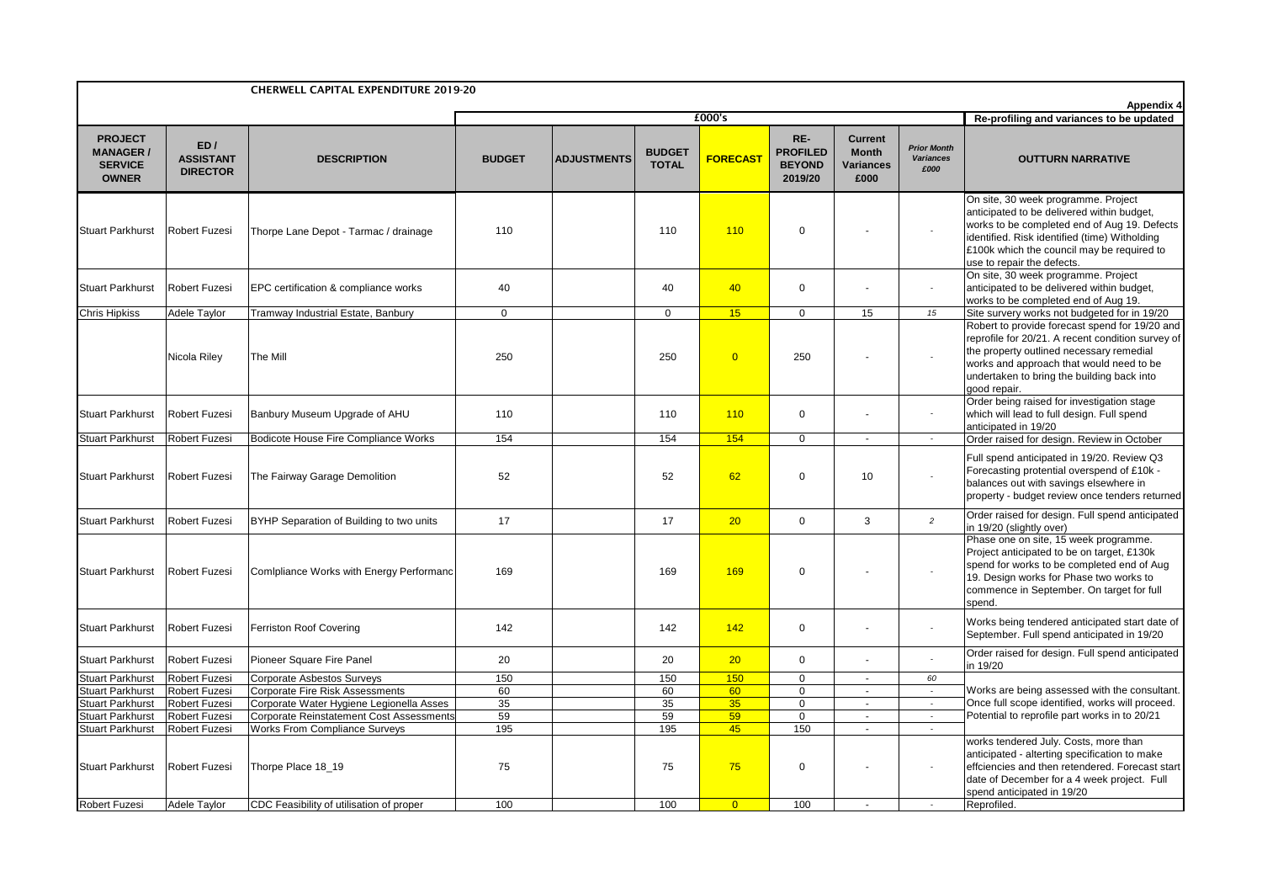| £000's<br>Re-profiling and variances to be updated<br>RE-<br><b>PROJECT</b><br>Current<br>ED/<br><b>Prior Month</b><br><b>PROFILED</b><br><b>MANAGER/</b><br><b>BUDGET</b><br><b>Month</b><br><b>FORECAST</b><br><b>ASSISTANT</b><br><b>ADJUSTMENTS</b><br><b>Variances</b><br><b>OUTTURN NARRATIVE</b><br><b>DESCRIPTION</b><br><b>BUDGET</b><br><b>TOTAL</b><br><b>SERVICE</b><br><b>BEYOND</b><br><b>Variances</b><br>£000<br><b>DIRECTOR</b><br><b>OWNER</b><br>£000<br>2019/20<br>On site, 30 week programme. Project<br>110<br>$\Omega$<br><b>Stuart Parkhurst</b><br><b>Robert Fuzesi</b><br>Thorpe Lane Depot - Tarmac / drainage<br>110<br>110<br>÷,<br>use to repair the defects.<br>On site, 30 week programme. Project<br>40<br><b>Stuart Parkhurst</b><br>40<br>40<br>$\mathbf 0$<br><b>Robert Fuzesi</b><br>EPC certification & compliance works<br>works to be completed end of Aug 19.<br>15<br>$\overline{0}$<br>15<br><b>Chris Hipkiss</b><br>Adele Taylor<br>$\mathbf 0$<br>$\Omega$<br>15<br>Tramway Industrial Estate, Banbury<br>Nicola Riley<br>250<br>250<br>$\overline{0}$<br>250<br>The Mill<br>good repair.<br>Order being raised for investigation stage<br>110<br>$\mathbf 0$<br>which will lead to full design. Full spend<br><b>Stuart Parkhurst</b><br><b>Robert Fuzesi</b><br>Banbury Museum Upgrade of AHU<br>110<br>110<br>anticipated in 19/20<br>154<br>154<br>154<br><b>Robert Fuzesi</b><br>Bodicote House Fire Compliance Works<br>$\overline{0}$<br><b>Stuart Parkhurst</b><br>$\mathcal{L}_{\mathcal{A}}$<br>$\sim$<br>52<br>52<br>62<br>$\Omega$<br>10<br><b>Stuart Parkhurst</b><br><b>Robert Fuzesi</b><br>The Fairway Garage Demolition<br>balances out with savings elsewhere in<br>20<br>3<br><b>Robert Fuzesi</b><br>BYHP Separation of Building to two units<br>17<br>17<br>$\Omega$<br>$\overline{2}$<br><b>Stuart Parkhurst</b><br>in 19/20 (slightly over)<br>169<br><b>Stuart Parkhurst</b><br><b>Robert Fuzesi</b><br>Comlpliance Works with Energy Performanc<br>169<br>169<br>$\mathbf 0$<br>spend.<br><b>Stuart Parkhurst</b><br>142<br>$\mathbf 0$<br>Robert Fuzesi<br>Ferriston Roof Covering<br>142<br>142<br>20<br>$\mathbf 0$<br><b>Stuart Parkhurst</b><br>Robert Fuzesi<br>Pioneer Square Fire Panel<br>20<br>20<br>in 19/20<br>150<br>150<br>150<br>$\overline{0}$<br><b>Stuart Parkhurst</b><br>Robert Fuzesi<br><b>Corporate Asbestos Surveys</b><br>60<br>$\mathbf{r}$<br><b>Stuart Parkhurst</b><br><b>Robert Fuzesi</b><br><b>Corporate Fire Risk Assessments</b><br>60<br>60<br>60<br>Works are being assessed with the consultant.<br>$\mathbf 0$<br>$\sim$<br>$\sim$<br>Once full scope identified, works will proceed.<br><b>Stuart Parkhurst</b><br>Robert Fuzesi<br>Corporate Water Hygiene Legionella Asses<br>35<br>35<br>35<br>$\mathbf 0$<br>$\omega$<br>59<br>59<br>Potential to reprofile part works in to 20/21<br><b>Stuart Parkhurst</b><br>Robert Fuzesi<br><b>Corporate Reinstatement Cost Assessments</b><br>59<br>$\mathbf 0$<br>$\omega$<br>$\sim$<br>195<br>45<br>150<br><b>Stuart Parkhurst</b><br><b>Robert Fuzesi</b><br><b>Works From Compliance Surveys</b><br>195<br>$\sim$<br>$\sim$<br>works tendered July. Costs, more than<br>75<br><b>Stuart Parkhurst</b><br><b>Robert Fuzesi</b><br>Thorpe Place 18_19<br>75<br>75<br>$\mathbf 0$<br>spend anticipated in 19/20 |              | <b>CHERWELL CAPITAL EXPENDITURE 2019-20</b> |     |     |     |  |                                                                                                                                                                                                                                           |
|--------------------------------------------------------------------------------------------------------------------------------------------------------------------------------------------------------------------------------------------------------------------------------------------------------------------------------------------------------------------------------------------------------------------------------------------------------------------------------------------------------------------------------------------------------------------------------------------------------------------------------------------------------------------------------------------------------------------------------------------------------------------------------------------------------------------------------------------------------------------------------------------------------------------------------------------------------------------------------------------------------------------------------------------------------------------------------------------------------------------------------------------------------------------------------------------------------------------------------------------------------------------------------------------------------------------------------------------------------------------------------------------------------------------------------------------------------------------------------------------------------------------------------------------------------------------------------------------------------------------------------------------------------------------------------------------------------------------------------------------------------------------------------------------------------------------------------------------------------------------------------------------------------------------------------------------------------------------------------------------------------------------------------------------------------------------------------------------------------------------------------------------------------------------------------------------------------------------------------------------------------------------------------------------------------------------------------------------------------------------------------------------------------------------------------------------------------------------------------------------------------------------------------------------------------------------------------------------------------------------------------------------------------------------------------------------------------------------------------------------------------------------------------------------------------------------------------------------------------------------------------------------------------------------------------------------------------------------------------------------------------------------------------------------------------------------------------------------------------------------------------------------------------------------------------------------------------------------------------------------------------------------------------------------------------------------------------------------------------------------------|--------------|---------------------------------------------|-----|-----|-----|--|-------------------------------------------------------------------------------------------------------------------------------------------------------------------------------------------------------------------------------------------|
|                                                                                                                                                                                                                                                                                                                                                                                                                                                                                                                                                                                                                                                                                                                                                                                                                                                                                                                                                                                                                                                                                                                                                                                                                                                                                                                                                                                                                                                                                                                                                                                                                                                                                                                                                                                                                                                                                                                                                                                                                                                                                                                                                                                                                                                                                                                                                                                                                                                                                                                                                                                                                                                                                                                                                                                                                                                                                                                                                                                                                                                                                                                                                                                                                                                                                                                                                                          |              |                                             |     |     |     |  | <b>Appendix 4</b>                                                                                                                                                                                                                         |
|                                                                                                                                                                                                                                                                                                                                                                                                                                                                                                                                                                                                                                                                                                                                                                                                                                                                                                                                                                                                                                                                                                                                                                                                                                                                                                                                                                                                                                                                                                                                                                                                                                                                                                                                                                                                                                                                                                                                                                                                                                                                                                                                                                                                                                                                                                                                                                                                                                                                                                                                                                                                                                                                                                                                                                                                                                                                                                                                                                                                                                                                                                                                                                                                                                                                                                                                                                          |              |                                             |     |     |     |  |                                                                                                                                                                                                                                           |
|                                                                                                                                                                                                                                                                                                                                                                                                                                                                                                                                                                                                                                                                                                                                                                                                                                                                                                                                                                                                                                                                                                                                                                                                                                                                                                                                                                                                                                                                                                                                                                                                                                                                                                                                                                                                                                                                                                                                                                                                                                                                                                                                                                                                                                                                                                                                                                                                                                                                                                                                                                                                                                                                                                                                                                                                                                                                                                                                                                                                                                                                                                                                                                                                                                                                                                                                                                          |              |                                             |     |     |     |  | anticipated to be delivered within budget,<br>works to be completed end of Aug 19. Defects<br>identified. Risk identified (time) Witholding<br>£100k which the council may be required to                                                 |
|                                                                                                                                                                                                                                                                                                                                                                                                                                                                                                                                                                                                                                                                                                                                                                                                                                                                                                                                                                                                                                                                                                                                                                                                                                                                                                                                                                                                                                                                                                                                                                                                                                                                                                                                                                                                                                                                                                                                                                                                                                                                                                                                                                                                                                                                                                                                                                                                                                                                                                                                                                                                                                                                                                                                                                                                                                                                                                                                                                                                                                                                                                                                                                                                                                                                                                                                                                          |              |                                             |     |     |     |  | anticipated to be delivered within budget,                                                                                                                                                                                                |
|                                                                                                                                                                                                                                                                                                                                                                                                                                                                                                                                                                                                                                                                                                                                                                                                                                                                                                                                                                                                                                                                                                                                                                                                                                                                                                                                                                                                                                                                                                                                                                                                                                                                                                                                                                                                                                                                                                                                                                                                                                                                                                                                                                                                                                                                                                                                                                                                                                                                                                                                                                                                                                                                                                                                                                                                                                                                                                                                                                                                                                                                                                                                                                                                                                                                                                                                                                          |              |                                             |     |     |     |  | Site survery works not budgeted for in 19/20                                                                                                                                                                                              |
|                                                                                                                                                                                                                                                                                                                                                                                                                                                                                                                                                                                                                                                                                                                                                                                                                                                                                                                                                                                                                                                                                                                                                                                                                                                                                                                                                                                                                                                                                                                                                                                                                                                                                                                                                                                                                                                                                                                                                                                                                                                                                                                                                                                                                                                                                                                                                                                                                                                                                                                                                                                                                                                                                                                                                                                                                                                                                                                                                                                                                                                                                                                                                                                                                                                                                                                                                                          |              |                                             |     |     |     |  | Robert to provide forecast spend for 19/20 and<br>reprofile for 20/21. A recent condition survey of<br>the property outlined necessary remedial<br>works and approach that would need to be<br>undertaken to bring the building back into |
|                                                                                                                                                                                                                                                                                                                                                                                                                                                                                                                                                                                                                                                                                                                                                                                                                                                                                                                                                                                                                                                                                                                                                                                                                                                                                                                                                                                                                                                                                                                                                                                                                                                                                                                                                                                                                                                                                                                                                                                                                                                                                                                                                                                                                                                                                                                                                                                                                                                                                                                                                                                                                                                                                                                                                                                                                                                                                                                                                                                                                                                                                                                                                                                                                                                                                                                                                                          |              |                                             |     |     |     |  |                                                                                                                                                                                                                                           |
|                                                                                                                                                                                                                                                                                                                                                                                                                                                                                                                                                                                                                                                                                                                                                                                                                                                                                                                                                                                                                                                                                                                                                                                                                                                                                                                                                                                                                                                                                                                                                                                                                                                                                                                                                                                                                                                                                                                                                                                                                                                                                                                                                                                                                                                                                                                                                                                                                                                                                                                                                                                                                                                                                                                                                                                                                                                                                                                                                                                                                                                                                                                                                                                                                                                                                                                                                                          |              |                                             |     |     |     |  | Order raised for design. Review in October                                                                                                                                                                                                |
|                                                                                                                                                                                                                                                                                                                                                                                                                                                                                                                                                                                                                                                                                                                                                                                                                                                                                                                                                                                                                                                                                                                                                                                                                                                                                                                                                                                                                                                                                                                                                                                                                                                                                                                                                                                                                                                                                                                                                                                                                                                                                                                                                                                                                                                                                                                                                                                                                                                                                                                                                                                                                                                                                                                                                                                                                                                                                                                                                                                                                                                                                                                                                                                                                                                                                                                                                                          |              |                                             |     |     |     |  | Full spend anticipated in 19/20. Review Q3<br>Forecasting protential overspend of £10k -<br>property - budget review once tenders returned                                                                                                |
|                                                                                                                                                                                                                                                                                                                                                                                                                                                                                                                                                                                                                                                                                                                                                                                                                                                                                                                                                                                                                                                                                                                                                                                                                                                                                                                                                                                                                                                                                                                                                                                                                                                                                                                                                                                                                                                                                                                                                                                                                                                                                                                                                                                                                                                                                                                                                                                                                                                                                                                                                                                                                                                                                                                                                                                                                                                                                                                                                                                                                                                                                                                                                                                                                                                                                                                                                                          |              |                                             |     |     |     |  | Order raised for design. Full spend anticipated                                                                                                                                                                                           |
|                                                                                                                                                                                                                                                                                                                                                                                                                                                                                                                                                                                                                                                                                                                                                                                                                                                                                                                                                                                                                                                                                                                                                                                                                                                                                                                                                                                                                                                                                                                                                                                                                                                                                                                                                                                                                                                                                                                                                                                                                                                                                                                                                                                                                                                                                                                                                                                                                                                                                                                                                                                                                                                                                                                                                                                                                                                                                                                                                                                                                                                                                                                                                                                                                                                                                                                                                                          |              |                                             |     |     |     |  | Phase one on site, 15 week programme.<br>Project anticipated to be on target, £130k<br>spend for works to be completed end of Aug<br>19. Design works for Phase two works to<br>commence in September. On target for full                 |
|                                                                                                                                                                                                                                                                                                                                                                                                                                                                                                                                                                                                                                                                                                                                                                                                                                                                                                                                                                                                                                                                                                                                                                                                                                                                                                                                                                                                                                                                                                                                                                                                                                                                                                                                                                                                                                                                                                                                                                                                                                                                                                                                                                                                                                                                                                                                                                                                                                                                                                                                                                                                                                                                                                                                                                                                                                                                                                                                                                                                                                                                                                                                                                                                                                                                                                                                                                          |              |                                             |     |     |     |  | Works being tendered anticipated start date of<br>September. Full spend anticipated in 19/20                                                                                                                                              |
|                                                                                                                                                                                                                                                                                                                                                                                                                                                                                                                                                                                                                                                                                                                                                                                                                                                                                                                                                                                                                                                                                                                                                                                                                                                                                                                                                                                                                                                                                                                                                                                                                                                                                                                                                                                                                                                                                                                                                                                                                                                                                                                                                                                                                                                                                                                                                                                                                                                                                                                                                                                                                                                                                                                                                                                                                                                                                                                                                                                                                                                                                                                                                                                                                                                                                                                                                                          |              |                                             |     |     |     |  | Order raised for design. Full spend anticipated                                                                                                                                                                                           |
|                                                                                                                                                                                                                                                                                                                                                                                                                                                                                                                                                                                                                                                                                                                                                                                                                                                                                                                                                                                                                                                                                                                                                                                                                                                                                                                                                                                                                                                                                                                                                                                                                                                                                                                                                                                                                                                                                                                                                                                                                                                                                                                                                                                                                                                                                                                                                                                                                                                                                                                                                                                                                                                                                                                                                                                                                                                                                                                                                                                                                                                                                                                                                                                                                                                                                                                                                                          |              |                                             |     |     |     |  |                                                                                                                                                                                                                                           |
|                                                                                                                                                                                                                                                                                                                                                                                                                                                                                                                                                                                                                                                                                                                                                                                                                                                                                                                                                                                                                                                                                                                                                                                                                                                                                                                                                                                                                                                                                                                                                                                                                                                                                                                                                                                                                                                                                                                                                                                                                                                                                                                                                                                                                                                                                                                                                                                                                                                                                                                                                                                                                                                                                                                                                                                                                                                                                                                                                                                                                                                                                                                                                                                                                                                                                                                                                                          |              |                                             |     |     |     |  |                                                                                                                                                                                                                                           |
|                                                                                                                                                                                                                                                                                                                                                                                                                                                                                                                                                                                                                                                                                                                                                                                                                                                                                                                                                                                                                                                                                                                                                                                                                                                                                                                                                                                                                                                                                                                                                                                                                                                                                                                                                                                                                                                                                                                                                                                                                                                                                                                                                                                                                                                                                                                                                                                                                                                                                                                                                                                                                                                                                                                                                                                                                                                                                                                                                                                                                                                                                                                                                                                                                                                                                                                                                                          |              |                                             |     |     |     |  |                                                                                                                                                                                                                                           |
|                                                                                                                                                                                                                                                                                                                                                                                                                                                                                                                                                                                                                                                                                                                                                                                                                                                                                                                                                                                                                                                                                                                                                                                                                                                                                                                                                                                                                                                                                                                                                                                                                                                                                                                                                                                                                                                                                                                                                                                                                                                                                                                                                                                                                                                                                                                                                                                                                                                                                                                                                                                                                                                                                                                                                                                                                                                                                                                                                                                                                                                                                                                                                                                                                                                                                                                                                                          |              |                                             |     |     |     |  |                                                                                                                                                                                                                                           |
| <b>Robert Fuzesi</b><br>$\overline{0}$<br>$\sim$<br>$\sim$                                                                                                                                                                                                                                                                                                                                                                                                                                                                                                                                                                                                                                                                                                                                                                                                                                                                                                                                                                                                                                                                                                                                                                                                                                                                                                                                                                                                                                                                                                                                                                                                                                                                                                                                                                                                                                                                                                                                                                                                                                                                                                                                                                                                                                                                                                                                                                                                                                                                                                                                                                                                                                                                                                                                                                                                                                                                                                                                                                                                                                                                                                                                                                                                                                                                                                               | Adele Taylor | CDC Feasibility of utilisation of proper    | 100 | 100 | 100 |  | anticipated - alterting specification to make<br>effciencies and then retendered. Forecast start<br>date of December for a 4 week project. Full<br>Reprofiled.                                                                            |